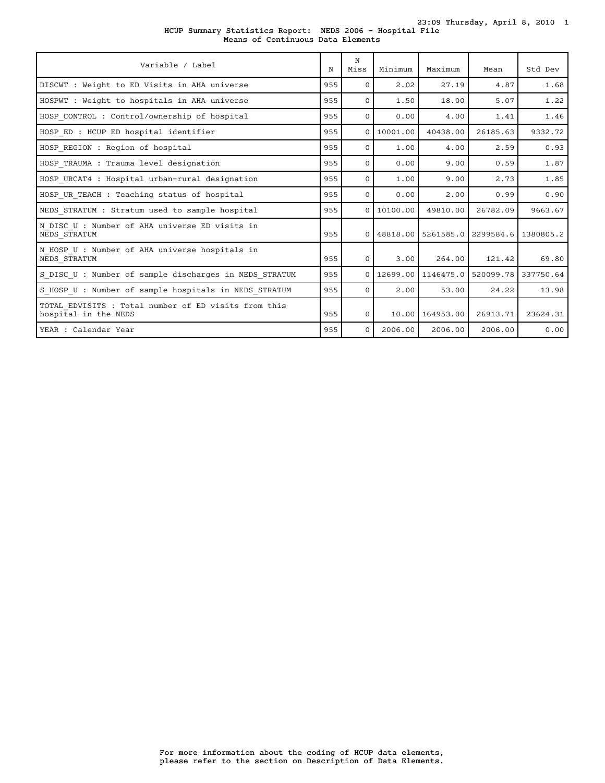| Variable / Label                                                             | N   | N<br>Miss    | Minimum    | Maximum         | Mean                                         | Std Dev  |
|------------------------------------------------------------------------------|-----|--------------|------------|-----------------|----------------------------------------------|----------|
| DISCWT : Weight to ED Visits in AHA universe                                 | 955 | $\Omega$     | 2.02       | 27.19           | 4.87                                         | 1.68     |
| HOSPWT : Weight to hospitals in AHA universe                                 | 955 | $\Omega$     | 1.50       | 18.00           | 5.07                                         | 1.22     |
| HOSP CONTROL : Control/ownership of hospital                                 | 955 | $\Omega$     | 0.00       | 4.00            | 1.41                                         | 1.46     |
| HOSP ED : HCUP ED hospital identifier                                        | 955 | $\mathbf{O}$ | 10001.00   | 40438.00        | 26185.63                                     | 9332.72  |
| HOSP REGION : Region of hospital                                             | 955 | $\Omega$     | 1.00       | 4.00            | 2.59                                         | 0.93     |
| HOSP TRAUMA : Trauma level designation                                       | 955 | $\Omega$     | 0.00       | 9.00            | 0.59                                         | 1.87     |
| HOSP URCAT4 : Hospital urban-rural designation                               | 955 | $\Omega$     | 1.00       | 9.00            | 2.73                                         | 1.85     |
| HOSP UR TEACH : Teaching status of hospital                                  | 955 | $\mathbf{0}$ | 0.00       | 2.00            | 0.99                                         | 0.90     |
| NEDS STRATUM : Stratum used to sample hospital                               | 955 |              | 0110100.00 | 49810.00        | 26782.09                                     | 9663.67  |
| N DISC U : Number of AHA universe ED visits in<br>NEDS STRATUM               | 955 |              |            |                 | 0 48818.00 5261585.0 2299584.6 1380805.2     |          |
| N HOSP U : Number of AHA universe hospitals in<br>NEDS STRATUM               | 955 | $\Omega$     | 3.00       | 264.00          | 121.42                                       | 69.80    |
| S DISC U : Number of sample discharges in NEDS STRATUM                       | 955 | $\Omega$     |            |                 | 12699.00   1146475.0   520099.78   337750.64 |          |
| S HOSP U : Number of sample hospitals in NEDS STRATUM                        | 955 | $\Omega$     | 2.00       | 53.00           | 24.22                                        | 13.98    |
| TOTAL EDVISITS : Total number of ED visits from this<br>hospital in the NEDS | 955 | $\mathbf{O}$ |            | 10.00 164953.00 | 26913.71                                     | 23624.31 |
| YEAR : Calendar Year                                                         | 955 | $\Omega$     | 2006.00    | 2006.00         | 2006.00                                      | 0.00     |

HCUP Summary Statistics Report: NEDS 2006 - Hospital File 23:09 Thursday, April 8, 2010 1 Means of Continuous Data Elements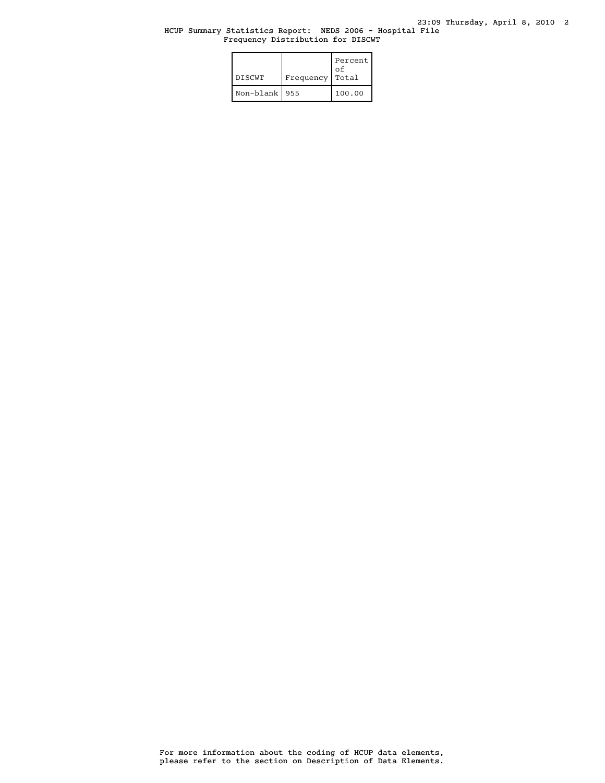# HCUP Summary Statistics Report: NEDS 2006 - Hospital File Frequency Distribution for DISCWT

| <b>DISCWT</b>   | Frequency | Percent<br>οf<br>Total |
|-----------------|-----------|------------------------|
| Non-blank   955 |           | 100.00                 |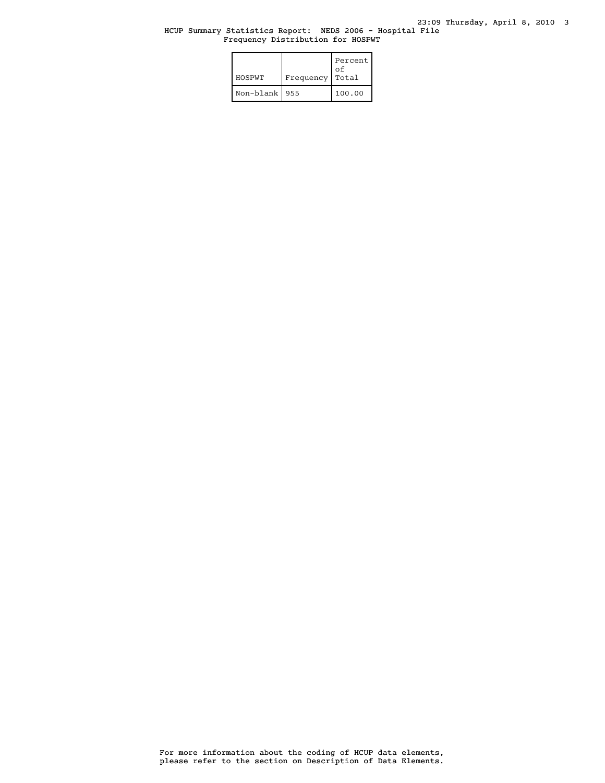## HCUP Summary Statistics Report: NEDS 2006 - Hospital File Frequency Distribution for HOSPWT

| HOSPWT    | Frequency | Percent<br>οf<br>Total |
|-----------|-----------|------------------------|
| Non-blank | 955       | 100.00                 |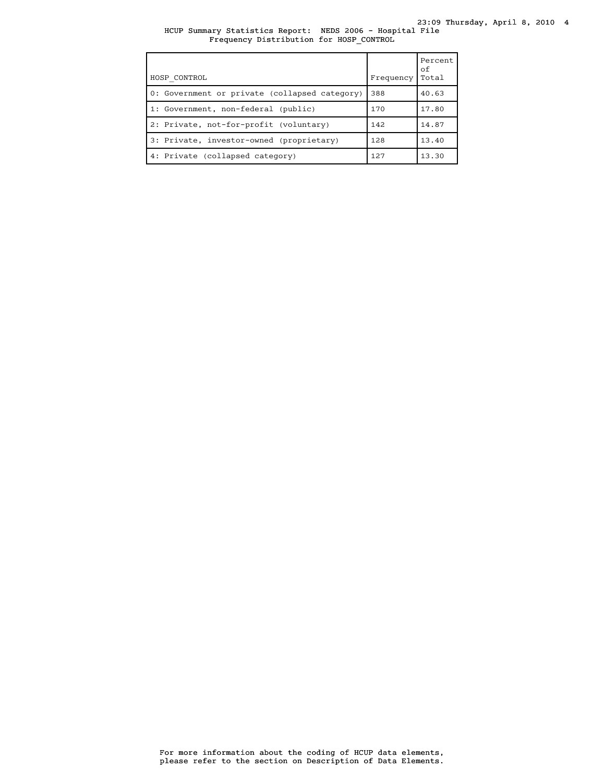HCUP Summary Statistics Report: NEDS 2006 - Hospital File Frequency Distribution for HOSP\_CONTROL

| HOSP CONTROL                                  | Frequency | Percent<br>οf<br>Total |
|-----------------------------------------------|-----------|------------------------|
| 0: Government or private (collapsed category) | 388       | 40.63                  |
| 1: Government, non-federal (public)           | 170       | 17.80                  |
| 2: Private, not-for-profit (voluntary)        | 142       | 14.87                  |
| 3: Private, investor-owned (proprietary)      | 128       | 13.40                  |
| 4: Private (collapsed category)               | 127       | 13.30                  |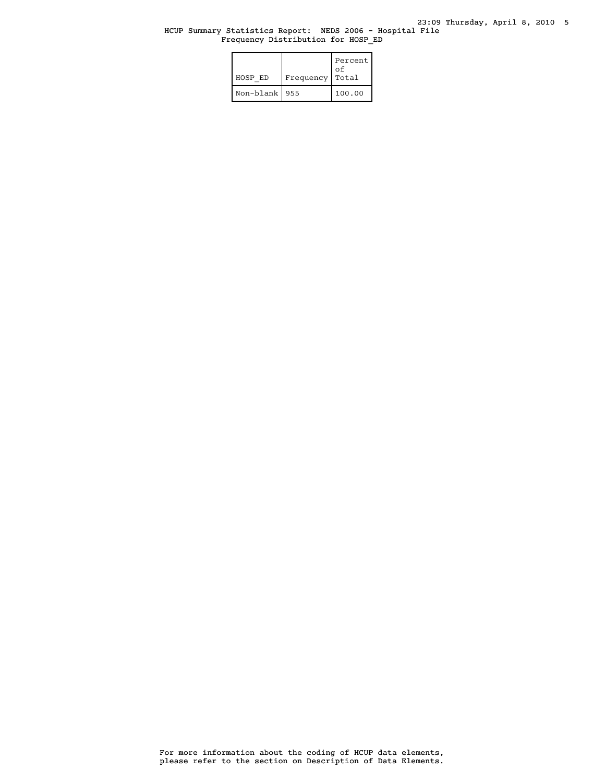### HCUP Summary Statistics Report: NEDS 2006 - Hospital File Frequency Distribution for HOSP\_ED

| HOSP ED         | Frequency | Percent<br>οf<br>Total |
|-----------------|-----------|------------------------|
| Non-blank   955 |           | 100.00                 |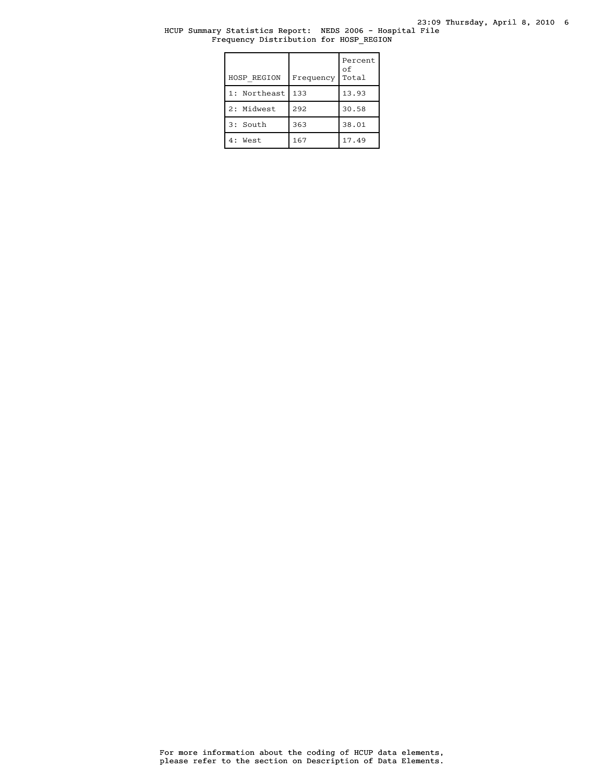23:09 Thursday, April 8, 2010 6

# HCUP Summary Statistics Report: NEDS 2006 - Hospital File Frequency Distribution for HOSP\_REGION

| HOSP REGION  | Frequency | Percent<br>оf<br>Total |
|--------------|-----------|------------------------|
| 1: Northeast | 133       | 13.93                  |
| 2: Midwest   | 292       | 30.58                  |
| 3: South     | 363       | 38.01                  |
| 4: West      | 167       | 17.49                  |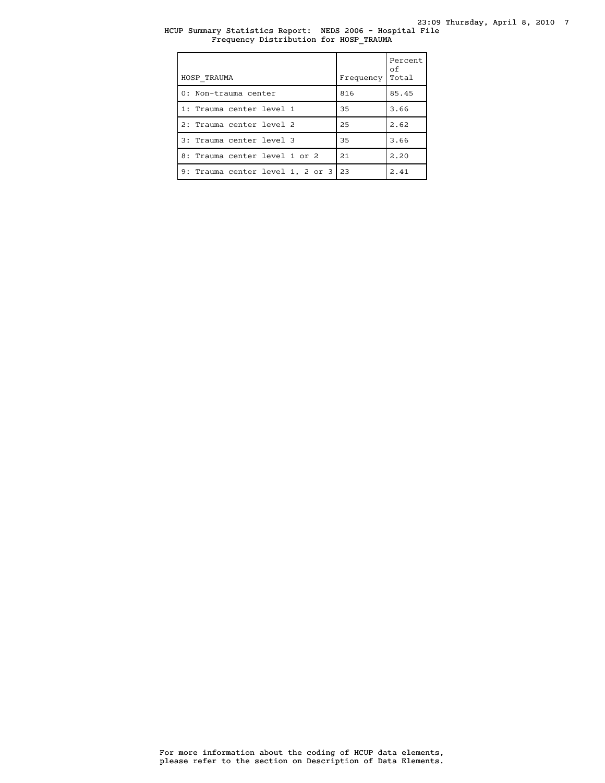HCUP Summary Statistics Report: NEDS 2006 - Hospital File Frequency Distribution for HOSP\_TRAUMA

| HOSP TRAUMA                      | Frequency | Percent<br>of<br>Total |
|----------------------------------|-----------|------------------------|
| 0: Non-trauma center             | 816       | 85.45                  |
| 1: Trauma center level 1         | 35        | 3.66                   |
| 2: Trauma center level 2         | 25        | 2.62                   |
| 3: Trauma center level 3         | 35        | 3.66                   |
| 8: Trauma center level 1 or 2    | 2.1       | 2.20                   |
| 9: Trauma center level 1, 2 or 3 | 23        | 2.41                   |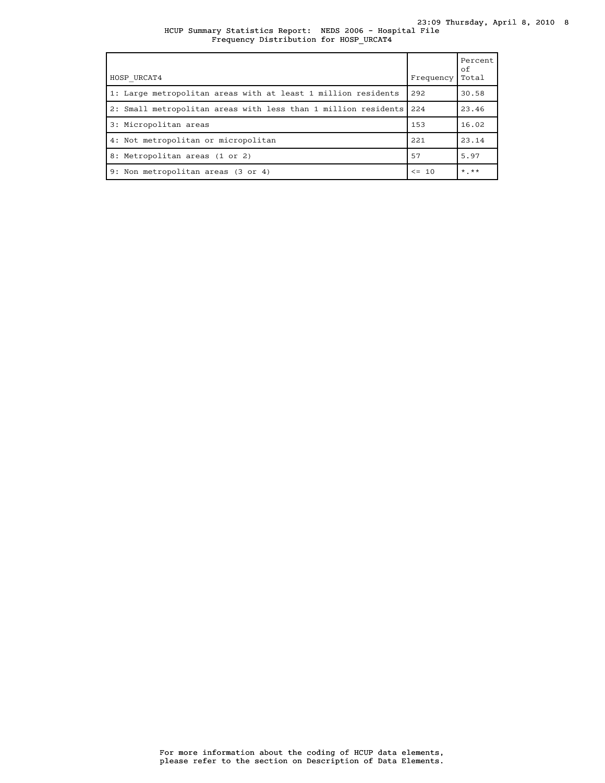| HOSP URCAT4                                                        | Frequency | Percent<br>of<br>Total |
|--------------------------------------------------------------------|-----------|------------------------|
| 1: Large metropolitan areas with at least 1 million residents      | 292       | 30.58                  |
| 2: Small metropolitan areas with less than 1 million residents 224 |           | 23.46                  |
| 3: Micropolitan areas                                              | 153       | 16.02                  |
| 4: Not metropolitan or micropolitan                                | 221       | 23.14                  |
| 8: Metropolitan areas (1 or 2)                                     | 57        | 5.97                   |
| 9: Non metropolitan areas (3 or 4)                                 | $\leq$ 10 | $*$ , $**$             |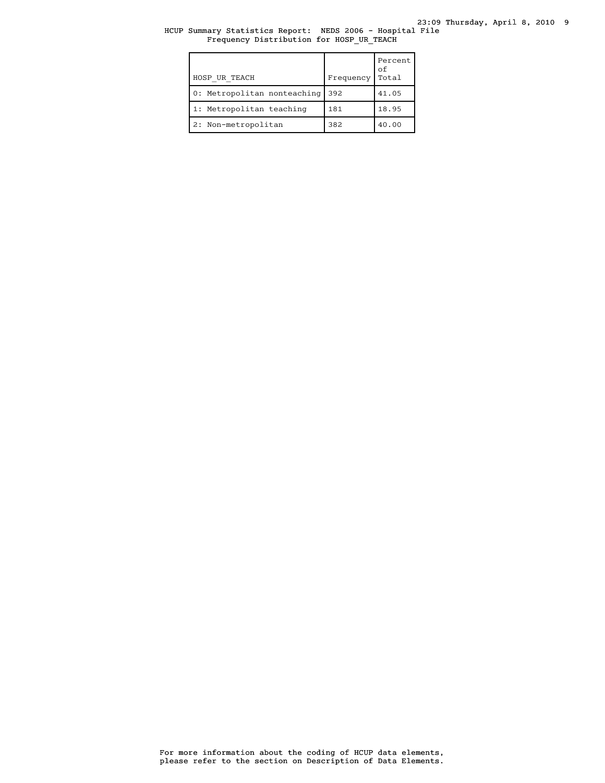23:09 Thursday, April 8, 2010 9

# HCUP Summary Statistics Report: NEDS 2006 - Hospital File Frequency Distribution for HOSP\_UR\_TEACH

| HOSP UR TEACH               | Frequency | Percent<br>оf<br>Total |
|-----------------------------|-----------|------------------------|
| 0: Metropolitan nonteaching | 392       | 41.05                  |
| 1: Metropolitan teaching    | 181       | 18.95                  |
| 2: Non-metropolitan         | 382       | 40.00                  |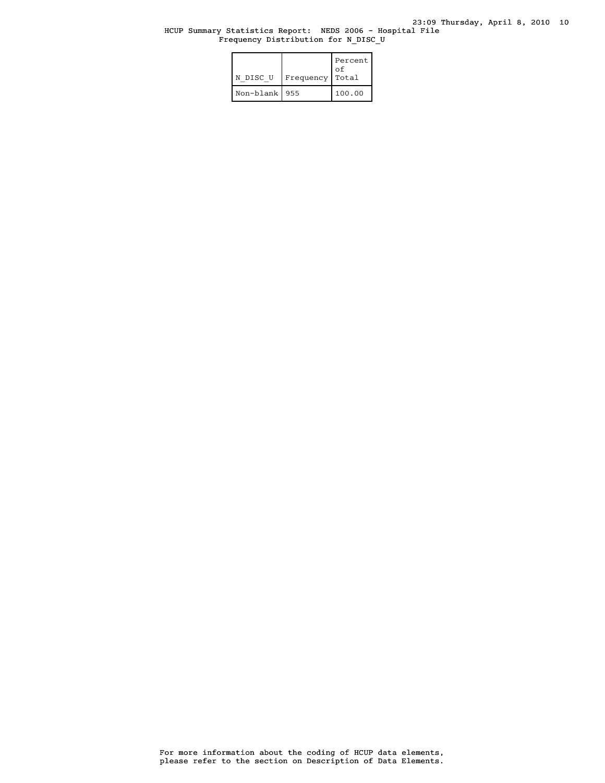### HCUP Summary Statistics Report: NEDS 2006 - Hospital File Frequency Distribution for N\_DISC\_U

| N DISC U        | Frequency | Percent<br>οf<br>Total |
|-----------------|-----------|------------------------|
| Non-blank   955 |           | 100.00                 |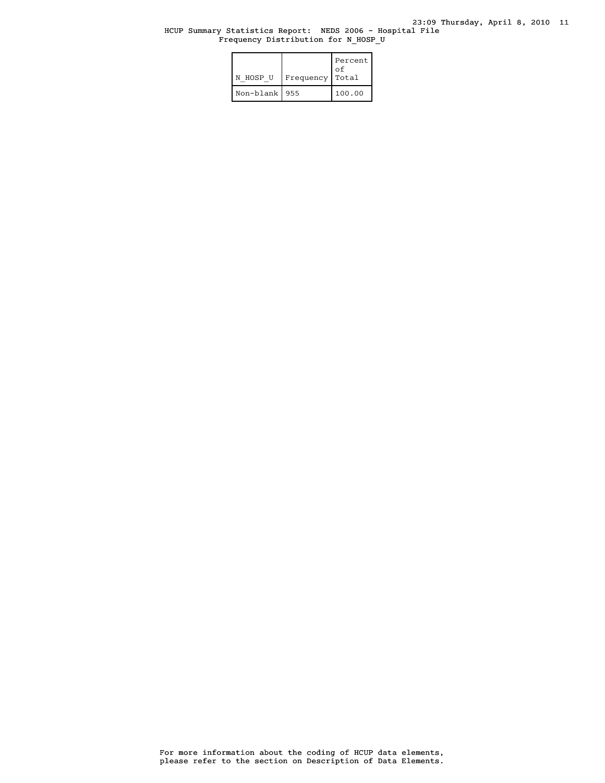### HCUP Summary Statistics Report: NEDS 2006 - Hospital File Frequency Distribution for N\_HOSP\_U

| N HOSP U        | Frequency | Percent<br>οf<br>Total |
|-----------------|-----------|------------------------|
| Non-blank   955 |           | 100.00                 |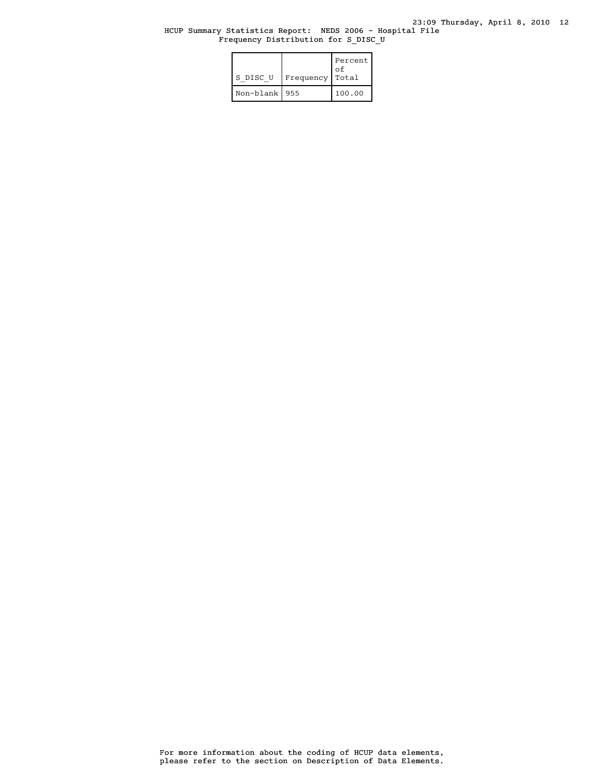### HCUP Summary Statistics Report: NEDS 2006 - Hospital File Frequency Distribution for S\_DISC\_U

| S DISC U        | Frequency | Percent<br>οf<br>Total |
|-----------------|-----------|------------------------|
| Non-blank   955 |           | 100.00                 |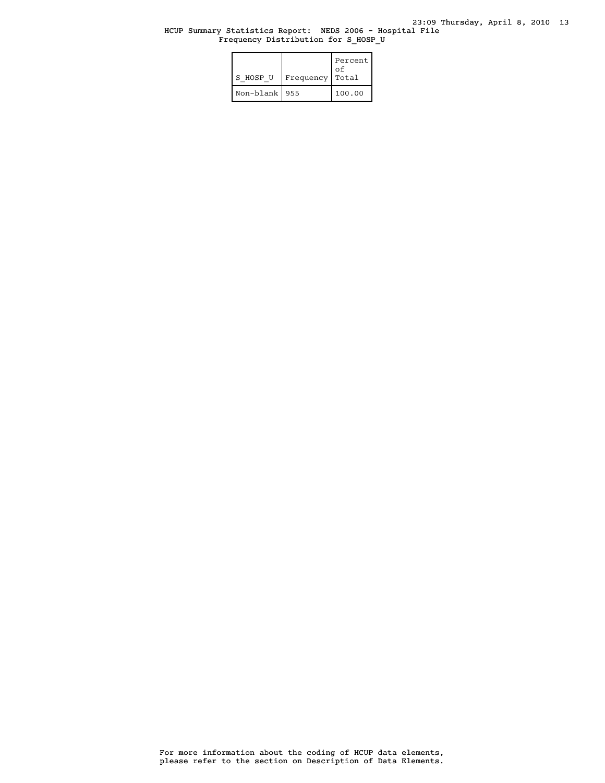### HCUP Summary Statistics Report: NEDS 2006 - Hospital File Frequency Distribution for S\_HOSP\_U

| S HOSP U        | Frequency | Percent<br>οf<br>Total |
|-----------------|-----------|------------------------|
| Non-blank   955 |           | 100.00                 |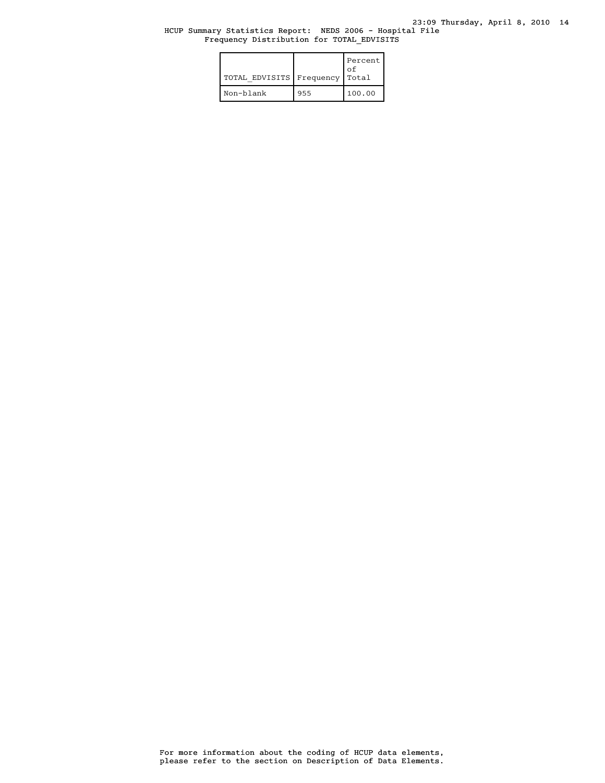### HCUP Summary Statistics Report: NEDS 2006 - Hospital File Frequency Distribution for TOTAL\_EDVISITS

| TOTAL EDVISITS   Frequency |     | Percent<br>Ωf<br>Total |
|----------------------------|-----|------------------------|
| Non-blank                  | 955 | 100.00                 |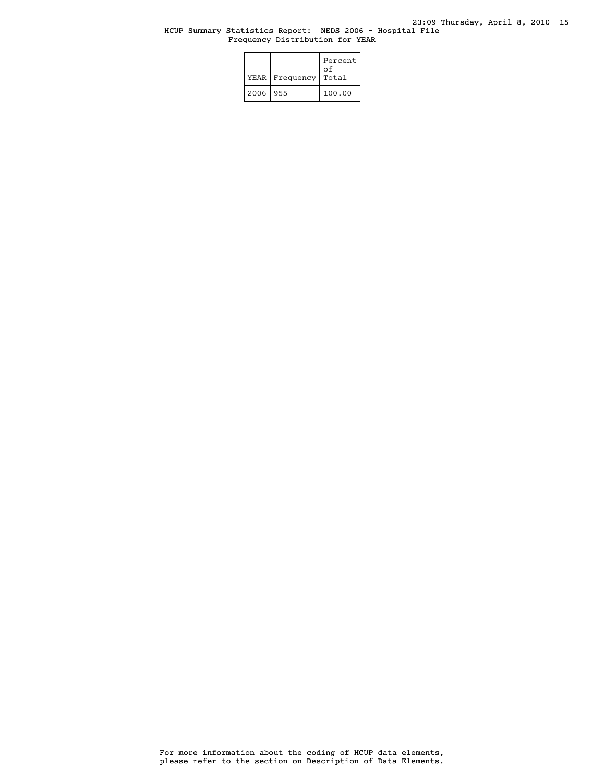# HCUP Summary Statistics Report: NEDS 2006 - Hospital File Frequency Distribution for YEAR

|      | YEAR   Frequency | Percent<br>οf<br>Total |
|------|------------------|------------------------|
| 2006 | 955              | 100.00                 |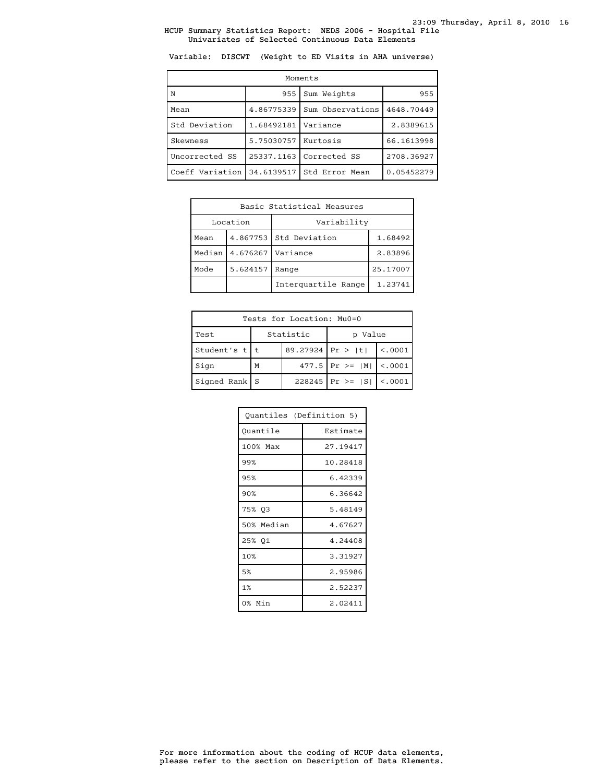Variable: DISCWT (Weight to ED Visits in AHA universe)

| Moments         |            |                  |            |  |
|-----------------|------------|------------------|------------|--|
| N               | 955        | Sum Weights      | 955        |  |
| Mean            | 4.86775339 | Sum Observations | 4648.70449 |  |
| Std Deviation   | 1.68492181 | Variance         | 2.8389615  |  |
| Skewness        | 5.75030757 | Kurtosis         | 66.1613998 |  |
| Uncorrected SS  | 25337.1163 | Corrected SS     | 2708.36927 |  |
| Coeff Variation | 34.6139517 | Std Error Mean   | 0.05452279 |  |

| Basic Statistical Measures     |                      |                        |         |  |
|--------------------------------|----------------------|------------------------|---------|--|
|                                | Location             | Variability            |         |  |
| Mean                           |                      | 4.867753 Std Deviation | 1.68492 |  |
| Median                         | 4.676267<br>Variance |                        | 2.83896 |  |
| Mode<br>5.624157<br>Range      |                      | 25.17007               |         |  |
| Interguartile Range<br>1.23741 |                      |                        |         |  |

| Tests for Location: Mu0=0       |   |  |                               |         |  |
|---------------------------------|---|--|-------------------------------|---------|--|
| Statistic<br>Test<br>Value<br>D |   |  |                               |         |  |
| Student's $t$   t               |   |  | 89.27924 Pr >  t              | < .0001 |  |
| Sign                            | M |  | 477.5   Pr > = $ M $   <.0001 |         |  |
| Signed Rank $S$                 |   |  | $228245$ Pr >= $ S $ <.0001   |         |  |

| Ouantiles (Definition 5) |          |  |
|--------------------------|----------|--|
| Ouantile                 | Estimate |  |
| 100% Max                 | 27.19417 |  |
| 99%                      | 10.28418 |  |
| 95%                      | 6.42339  |  |
| 90%                      | 6.36642  |  |
| 75% 03                   | 5.48149  |  |
| 50% Median               | 4.67627  |  |
| 25% 01                   | 4.24408  |  |
| 10%                      | 3.31927  |  |
| 5%                       | 2.95986  |  |
| 1%                       | 2.52237  |  |
| 0% Min                   | 2.02411  |  |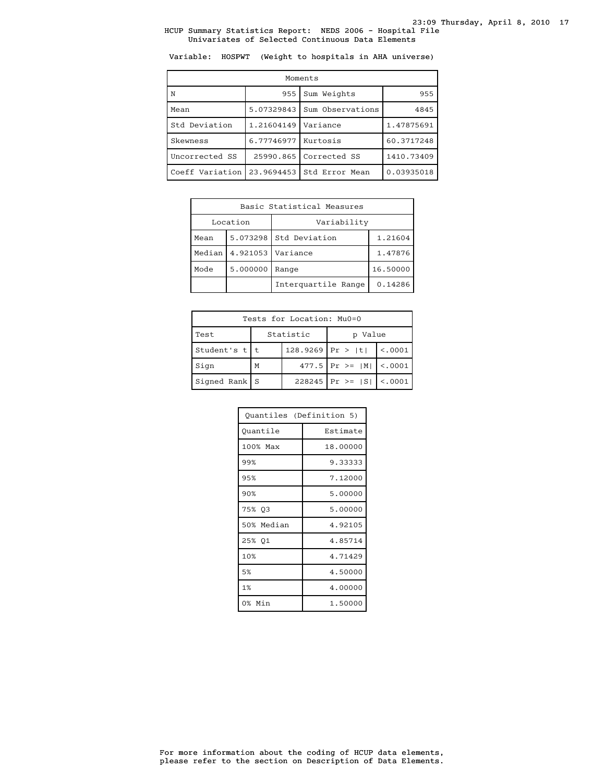Variable: HOSPWT (Weight to hospitals in AHA universe)

| Moments         |            |                  |            |  |
|-----------------|------------|------------------|------------|--|
| N               | 955        | Sum Weights      | 955        |  |
| Mean            | 5.07329843 | Sum Observations | 4845       |  |
| Std Deviation   | 1.21604149 | Variance         | 1.47875691 |  |
| Skewness        | 6.77746977 | Kurtosis         | 60.3717248 |  |
| Uncorrected SS  | 25990.865  | Corrected SS     | 1410.73409 |  |
| Coeff Variation | 23.9694453 | Std Error Mean   | 0.03935018 |  |

| Basic Statistical Measures     |                      |               |         |  |
|--------------------------------|----------------------|---------------|---------|--|
|                                | Location             | Variability   |         |  |
| Mean                           | 5.073298             | Std Deviation | 1.21604 |  |
| Median                         | 4.921053<br>Variance |               | 1.47876 |  |
| Mode<br>5.000000<br>Range      |                      | 16.50000      |         |  |
| Interquartile Range<br>0.14286 |                      |               |         |  |

| Tests for Location: Mu0=0       |   |                    |                               |          |  |
|---------------------------------|---|--------------------|-------------------------------|----------|--|
| Statistic<br>Value<br>Test<br>D |   |                    |                               |          |  |
| Student's $t$   t               |   | $128.9269$ Pr >  t |                               | < 0.0001 |  |
| Sign                            | M |                    | 477.5   Pr > = $ M $   <.0001 |          |  |
| Signed Rank   S                 |   |                    | $228245$   Pr >= $ S $        | < 0.001  |  |

| Quantiles (Definition 5) |          |  |
|--------------------------|----------|--|
| Quantile                 | Estimate |  |
| 100% Max                 | 18.00000 |  |
| 99%                      | 9.33333  |  |
| 95%                      | 7.12000  |  |
| 90%                      | 5.00000  |  |
| 75% 03                   | 5.00000  |  |
| 50% Median               | 4.92105  |  |
| 25% 01                   | 4.85714  |  |
| 10%                      | 4.71429  |  |
| 5%                       | 4.50000  |  |
| 1%                       | 4.00000  |  |
| 0% Min                   | 1.50000  |  |

please refer to the section on Description of Data Elements. For more information about the coding of HCUP data elements,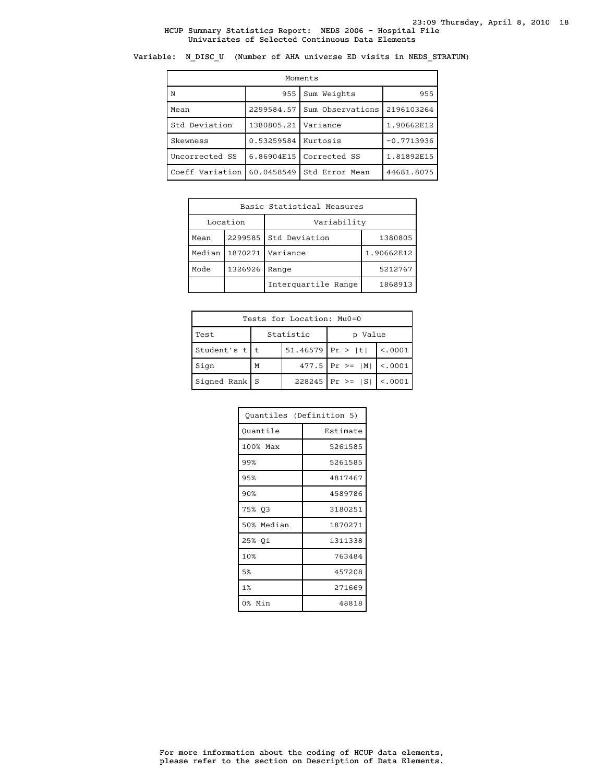Variable: N\_DISC\_U (Number of AHA universe ED visits in NEDS\_STRATUM)

| Moments         |                       |                         |              |  |  |
|-----------------|-----------------------|-------------------------|--------------|--|--|
| ١N              | 955                   | Sum Weights             | 955          |  |  |
| Mean            | 2299584.57            | Sum Observations        | 2196103264   |  |  |
| Std Deviation   | 1380805.21            | Variance                | 1.90662E12   |  |  |
| Skewness        | 0.53259584   Kurtosis |                         | $-0.7713936$ |  |  |
| Uncorrected SS  |                       | 6.86904E15 Corrected SS | 1.81892E15   |  |  |
| Coeff Variation | 60.0458549            | Std Error Mean          | 44681.8075   |  |  |

| Basic Statistical Measures     |          |                          |            |  |  |
|--------------------------------|----------|--------------------------|------------|--|--|
|                                | Location | Variability              |            |  |  |
| Mean                           | 2299585  | Std Deviation<br>1380805 |            |  |  |
| Median                         | 1870271  | Variance                 | 1.90662E12 |  |  |
| 1326926<br>Mode<br>Range       |          | 5212767                  |            |  |  |
| Interquartile Range<br>1868913 |          |                          |            |  |  |

| Tests for Location: Mu0=0 |                         |                    |                        |         |  |  |
|---------------------------|-------------------------|--------------------|------------------------|---------|--|--|
| Test                      | Statistic<br>Value<br>D |                    |                        |         |  |  |
| Student's $t$   t         |                         | $51.46579$ Pr >  t | < .0001                |         |  |  |
| Sign                      | $477.5$ Pr >=  M <br>M  |                    |                        | < 0.001 |  |  |
| $Signal Rank$ S           |                         |                    | $228245$   Pr >= $ S $ | < 0.001 |  |  |

| Ouantiles (Definition 5) |          |
|--------------------------|----------|
| Ouantile                 | Estimate |
| 100% Max                 | 5261585  |
| 99%                      | 5261585  |
| 95%                      | 4817467  |
| 90%                      | 4589786  |
| 75% 03                   | 3180251  |
| 50% Median               | 1870271  |
| 25% Q1                   | 1311338  |
| 10%                      | 763484   |
| 5%                       | 457208   |
| 1%                       | 271669   |
| 0% Min                   | 48818    |

please refer to the section on Description of Data Elements. For more information about the coding of HCUP data elements,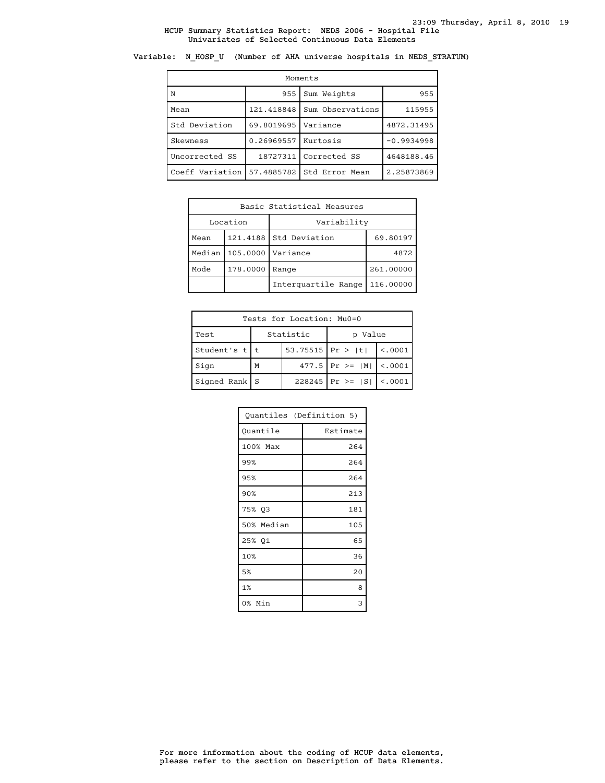Variable: N\_HOSP\_U (Number of AHA universe hospitals in NEDS\_STRATUM)

| Moments         |            |                  |              |  |  |  |
|-----------------|------------|------------------|--------------|--|--|--|
| ΙN              | 955        | Sum Weights      | 955          |  |  |  |
| Mean            | 121.418848 | Sum Observations | 115955       |  |  |  |
| Std Deviation   | 69.8019695 | Variance         | 4872.31495   |  |  |  |
| Skewness        | 0.26969557 | Kurtosis         | $-0.9934998$ |  |  |  |
| Uncorrected SS  | 18727311   | Corrected SS     | 4648188.46   |  |  |  |
| Coeff Variation | 57.4885782 | Std Error Mean   | 2.25873869   |  |  |  |

|                                  | Basic Statistical Measures |                        |          |  |  |
|----------------------------------|----------------------------|------------------------|----------|--|--|
|                                  | Location                   | Variability            |          |  |  |
| Mean                             |                            | 121.4188 Std Deviation | 69.80197 |  |  |
| Median<br>105.0000<br>Variance   |                            | 4872                   |          |  |  |
| 178.0000<br>Mode<br>Range        |                            | 261.00000              |          |  |  |
| Interguartile Range<br>116.00000 |                            |                        |          |  |  |

| Tests for Location: Mu0=0 |                      |                  |                               |                            |  |  |
|---------------------------|----------------------|------------------|-------------------------------|----------------------------|--|--|
| Test                      | Statistic<br>p Value |                  |                               |                            |  |  |
| Student's $t$   t         |                      | 53.75515 Pr >  t | $\vert$ <.0001                |                            |  |  |
| Sign                      | M                    |                  |                               | 477.5 $Pr$ >= $ M $ < 0001 |  |  |
| $Signal Rank$   S         |                      |                  | 228245   Pr >= $ S $   <.0001 |                            |  |  |

| Quantiles (Definition 5) |          |
|--------------------------|----------|
| Ouantile                 | Estimate |
| 100% Max                 | 264      |
| 99%                      | 264      |
| 95%                      | 264      |
| 90%                      | 213      |
| 75% Q3                   | 181      |
| 50% Median               | 105      |
| 25% Q1                   | 65       |
| 10%                      | 36       |
| 5%                       | 20       |
| 1%                       | 8        |
| 0% Min                   | 3        |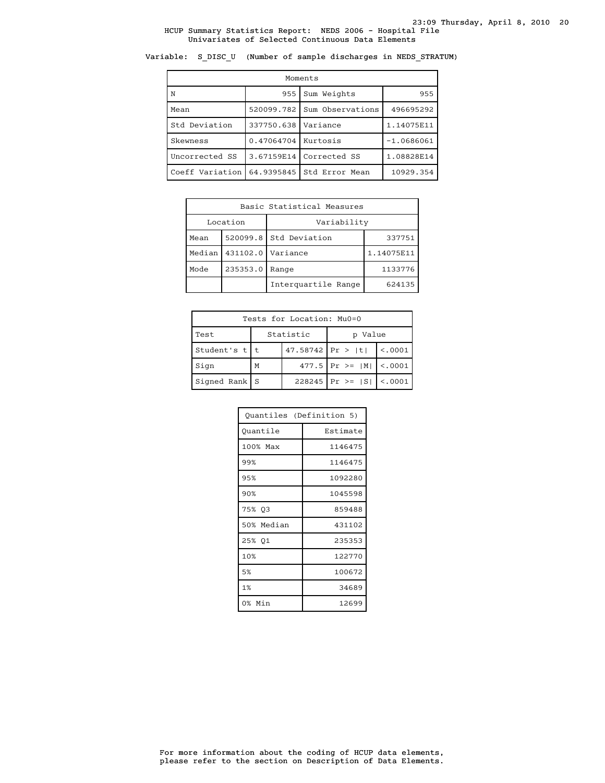Variable: S\_DISC\_U (Number of sample discharges in NEDS\_STRATUM)

| Moments         |            |                    |              |  |  |  |
|-----------------|------------|--------------------|--------------|--|--|--|
| N               | 955        | Sum Weights<br>955 |              |  |  |  |
| Mean            | 520099.782 | Sum Observations   | 496695292    |  |  |  |
| Std Deviation   | 337750.638 | Variance           | 1.14075E11   |  |  |  |
| Skewness        | 0.47064704 | Kurtosis           | $-1.0686061$ |  |  |  |
| Uncorrected SS  | 3.67159E14 | Corrected SS       | 1.08828E14   |  |  |  |
| Coeff Variation | 64.9395845 | Std Error Mean     | 10929.354    |  |  |  |

| Basic Statistical Measures  |                                    |                     |            |  |
|-----------------------------|------------------------------------|---------------------|------------|--|
|                             | Location                           | Variability         |            |  |
| Mean                        | $520099.8$ Std Deviation<br>337751 |                     |            |  |
| 431102.0 Variance<br>Median |                                    |                     | 1.14075E11 |  |
| 235353.0<br>Mode<br>Range   |                                    |                     | 1133776    |  |
|                             |                                    | Interquartile Range | 624135     |  |

| Tests for Location: Mu0=0 |                      |                  |                               |                |  |  |
|---------------------------|----------------------|------------------|-------------------------------|----------------|--|--|
| Test                      | Statistic<br>p Value |                  |                               |                |  |  |
| Student's $t$   t         |                      | 47.58742 Pr >  t |                               | $\vert$ <.0001 |  |  |
| Sign                      | M                    |                  | 477.5 $Pr$ >= $ M $ < 0001    |                |  |  |
| $Signal Rank$   S         |                      |                  | 228245   Pr >= $ S $   <.0001 |                |  |  |

| Ouantiles (Definition 5) |          |
|--------------------------|----------|
| Ouantile                 | Estimate |
| 100% Max                 | 1146475  |
| 99%                      | 1146475  |
| 95%                      | 1092280  |
| 90%                      | 1045598  |
| 75% 03                   | 859488   |
| 50% Median               | 431102   |
| 25% 01                   | 235353   |
| 10%                      | 122770   |
| 5%                       | 100672   |
| 1%                       | 34689    |
| 0% Min                   | 12699    |

please refer to the section on Description of Data Elements. For more information about the coding of HCUP data elements,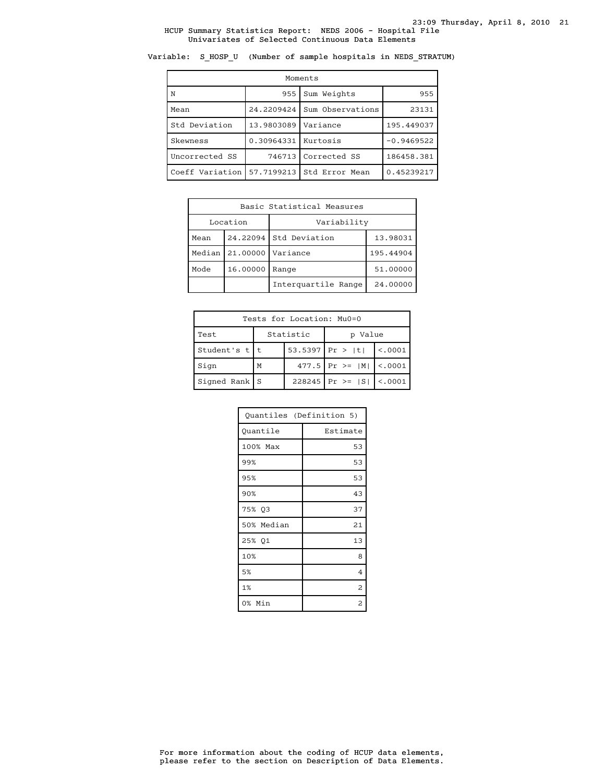Variable: S\_HOSP\_U (Number of sample hospitals in NEDS\_STRATUM)

| Moments         |            |                  |              |  |  |
|-----------------|------------|------------------|--------------|--|--|
| N               | 955        | Sum Weights      | 955          |  |  |
| Mean            | 24.2209424 | Sum Observations | 23131        |  |  |
| Std Deviation   | 13.9803089 | Variance         | 195.449037   |  |  |
| Skewness        | 0.30964331 | Kurtosis         | $-0.9469522$ |  |  |
| Uncorrected SS  | 746713     | Corrected SS     | 186458.381   |  |  |
| Coeff Variation | 57.7199213 | Std Error Mean   | 0.45239217   |  |  |

| Basic Statistical Measures |                   |                        |           |  |
|----------------------------|-------------------|------------------------|-----------|--|
| Location                   |                   | Variability            |           |  |
| Mean                       |                   | 24.22094 Std Deviation | 13.98031  |  |
| Median                     | 21,00000          | Variance               | 195.44904 |  |
| Mode                       | 16.00000<br>Range |                        | 51.00000  |  |
|                            |                   | Interguartile Range    | 24,00000  |  |

| Tests for Location: Mu0=0 |           |  |                               |             |
|---------------------------|-----------|--|-------------------------------|-------------|
| Test                      | Statistic |  | p Value                       |             |
| Student's $t$   t         |           |  | 53.5397 $ Pr >  t $           | $\leq 0001$ |
| Sign                      | м         |  | 477.5   Pr > = $ M $   <.0001 |             |
| $Signal Rank$   S         |           |  | $228245$ Pr >= $ S $ <.0001   |             |

| Quantiles (Definition 5) |                         |  |
|--------------------------|-------------------------|--|
| Quantile                 | Estimate                |  |
| 100% Max                 | 53                      |  |
| 99%                      | 53                      |  |
| 95%                      | 53                      |  |
| 90%                      | 43                      |  |
| 75% 03                   | 37                      |  |
| 50% Median               | 21                      |  |
| 25% Q1                   | 13                      |  |
| 10%                      | 8                       |  |
| 5%                       | $\overline{4}$          |  |
| 1%                       | 2                       |  |
| 0% Min                   | $\overline{\mathbf{c}}$ |  |

please refer to the section on Description of Data Elements. For more information about the coding of HCUP data elements,